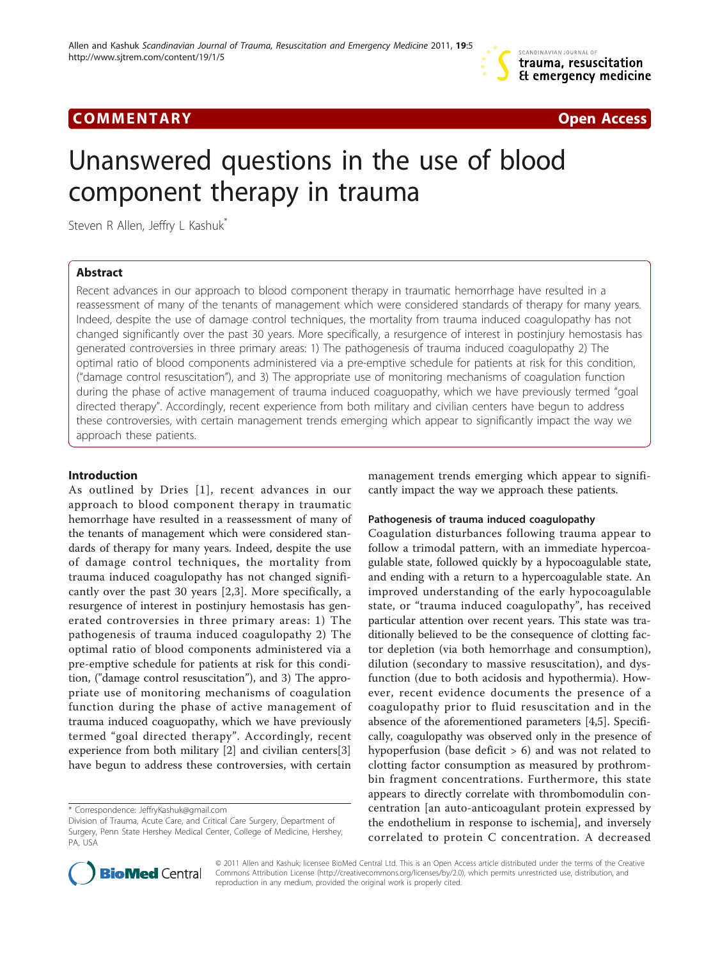

# COMM EN TARY Open Access



# Unanswered questions in the use of blood component therapy in trauma

Steven R Allen, Jeffry L Kashuk<sup>\*</sup>

# Abstract

Recent advances in our approach to blood component therapy in traumatic hemorrhage have resulted in a reassessment of many of the tenants of management which were considered standards of therapy for many years. Indeed, despite the use of damage control techniques, the mortality from trauma induced coagulopathy has not changed significantly over the past 30 years. More specifically, a resurgence of interest in postinjury hemostasis has generated controversies in three primary areas: 1) The pathogenesis of trauma induced coagulopathy 2) The optimal ratio of blood components administered via a pre-emptive schedule for patients at risk for this condition, ("damage control resuscitation"), and 3) The appropriate use of monitoring mechanisms of coagulation function during the phase of active management of trauma induced coaguopathy, which we have previously termed "goal directed therapy". Accordingly, recent experience from both military and civilian centers have begun to address these controversies, with certain management trends emerging which appear to significantly impact the way we approach these patients.

# Introduction

As outlined by Dries [[1\]](#page-3-0), recent advances in our approach to blood component therapy in traumatic hemorrhage have resulted in a reassessment of many of the tenants of management which were considered standards of therapy for many years. Indeed, despite the use of damage control techniques, the mortality from trauma induced coagulopathy has not changed significantly over the past 30 years [[2,3\]](#page-3-0). More specifically, a resurgence of interest in postinjury hemostasis has generated controversies in three primary areas: 1) The pathogenesis of trauma induced coagulopathy 2) The optimal ratio of blood components administered via a pre-emptive schedule for patients at risk for this condition, ("damage control resuscitation"), and 3) The appropriate use of monitoring mechanisms of coagulation function during the phase of active management of trauma induced coaguopathy, which we have previously termed "goal directed therapy". Accordingly, recent experience from both military [\[2](#page-3-0)] and civilian centers[\[3](#page-3-0)] have begun to address these controversies, with certain

management trends emerging which appear to significantly impact the way we approach these patients.

#### Pathogenesis of trauma induced coagulopathy

Coagulation disturbances following trauma appear to follow a trimodal pattern, with an immediate hypercoagulable state, followed quickly by a hypocoagulable state, and ending with a return to a hypercoagulable state. An improved understanding of the early hypocoagulable state, or "trauma induced coagulopathy", has received particular attention over recent years. This state was traditionally believed to be the consequence of clotting factor depletion (via both hemorrhage and consumption), dilution (secondary to massive resuscitation), and dysfunction (due to both acidosis and hypothermia). However, recent evidence documents the presence of a coagulopathy prior to fluid resuscitation and in the absence of the aforementioned parameters [\[4,5](#page-3-0)]. Specifically, coagulopathy was observed only in the presence of hypoperfusion (base deficit  $> 6$ ) and was not related to clotting factor consumption as measured by prothrombin fragment concentrations. Furthermore, this state appears to directly correlate with thrombomodulin concentration [an auto-anticoagulant protein expressed by the endothelium in response to ischemia], and inversely correlated to protein C concentration. A decreased



© 2011 Allen and Kashuk; licensee BioMed Central Ltd. This is an Open Access article distributed under the terms of the Creative Commons Attribution License [\(http://creativecommons.org/licenses/by/2.0](http://creativecommons.org/licenses/by/2.0)), which permits unrestricted use, distribution, and reproduction in any medium, provided the original work is properly cited.

<sup>\*</sup> Correspondence: [JeffryKashuk@gmail.com](mailto:JeffryKashuk@gmail.com)

Division of Trauma, Acute Care, and Critical Care Surgery, Department of Surgery, Penn State Hershey Medical Center, College of Medicine, Hershey, PA, USA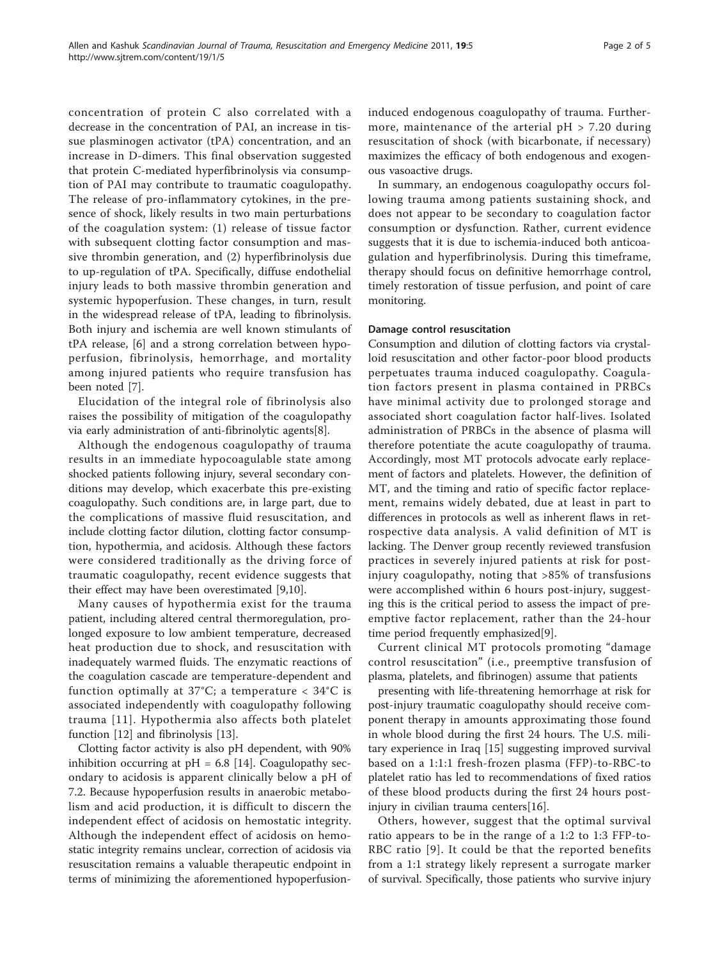concentration of protein C also correlated with a decrease in the concentration of PAI, an increase in tissue plasminogen activator (tPA) concentration, and an increase in D-dimers. This final observation suggested that protein C-mediated hyperfibrinolysis via consumption of PAI may contribute to traumatic coagulopathy. The release of pro-inflammatory cytokines, in the presence of shock, likely results in two main perturbations of the coagulation system: (1) release of tissue factor with subsequent clotting factor consumption and massive thrombin generation, and (2) hyperfibrinolysis due to up-regulation of tPA. Specifically, diffuse endothelial injury leads to both massive thrombin generation and systemic hypoperfusion. These changes, in turn, result in the widespread release of tPA, leading to fibrinolysis. Both injury and ischemia are well known stimulants of tPA release, [[6\]](#page-3-0) and a strong correlation between hypoperfusion, fibrinolysis, hemorrhage, and mortality among injured patients who require transfusion has been noted [\[7\]](#page-3-0).

Elucidation of the integral role of fibrinolysis also raises the possibility of mitigation of the coagulopathy via early administration of anti-fibrinolytic agents[[8\]](#page-3-0).

Although the endogenous coagulopathy of trauma results in an immediate hypocoagulable state among shocked patients following injury, several secondary conditions may develop, which exacerbate this pre-existing coagulopathy. Such conditions are, in large part, due to the complications of massive fluid resuscitation, and include clotting factor dilution, clotting factor consumption, hypothermia, and acidosis. Although these factors were considered traditionally as the driving force of traumatic coagulopathy, recent evidence suggests that their effect may have been overestimated [[9](#page-3-0),[10](#page-3-0)].

Many causes of hypothermia exist for the trauma patient, including altered central thermoregulation, prolonged exposure to low ambient temperature, decreased heat production due to shock, and resuscitation with inadequately warmed fluids. The enzymatic reactions of the coagulation cascade are temperature-dependent and function optimally at 37°C; a temperature  $<$  34°C is associated independently with coagulopathy following trauma [[11\]](#page-3-0). Hypothermia also affects both platelet function [\[12\]](#page-3-0) and fibrinolysis [\[13\]](#page-3-0).

Clotting factor activity is also pH dependent, with 90% inhibition occurring at  $pH = 6.8$  [\[14](#page-3-0)]. Coagulopathy secondary to acidosis is apparent clinically below a pH of 7.2. Because hypoperfusion results in anaerobic metabolism and acid production, it is difficult to discern the independent effect of acidosis on hemostatic integrity. Although the independent effect of acidosis on hemostatic integrity remains unclear, correction of acidosis via resuscitation remains a valuable therapeutic endpoint in terms of minimizing the aforementioned hypoperfusioninduced endogenous coagulopathy of trauma. Furthermore, maintenance of the arterial  $pH > 7.20$  during resuscitation of shock (with bicarbonate, if necessary) maximizes the efficacy of both endogenous and exogenous vasoactive drugs.

In summary, an endogenous coagulopathy occurs following trauma among patients sustaining shock, and does not appear to be secondary to coagulation factor consumption or dysfunction. Rather, current evidence suggests that it is due to ischemia-induced both anticoagulation and hyperfibrinolysis. During this timeframe, therapy should focus on definitive hemorrhage control, timely restoration of tissue perfusion, and point of care monitoring.

#### Damage control resuscitation

Consumption and dilution of clotting factors via crystalloid resuscitation and other factor-poor blood products perpetuates trauma induced coagulopathy. Coagulation factors present in plasma contained in PRBCs have minimal activity due to prolonged storage and associated short coagulation factor half-lives. Isolated administration of PRBCs in the absence of plasma will therefore potentiate the acute coagulopathy of trauma. Accordingly, most MT protocols advocate early replacement of factors and platelets. However, the definition of MT, and the timing and ratio of specific factor replacement, remains widely debated, due at least in part to differences in protocols as well as inherent flaws in retrospective data analysis. A valid definition of MT is lacking. The Denver group recently reviewed transfusion practices in severely injured patients at risk for postinjury coagulopathy, noting that >85% of transfusions were accomplished within 6 hours post-injury, suggesting this is the critical period to assess the impact of preemptive factor replacement, rather than the 24-hour time period frequently emphasized[[9](#page-3-0)].

Current clinical MT protocols promoting "damage control resuscitation" (i.e., preemptive transfusion of plasma, platelets, and fibrinogen) assume that patients

presenting with life-threatening hemorrhage at risk for post-injury traumatic coagulopathy should receive component therapy in amounts approximating those found in whole blood during the first 24 hours. The U.S. military experience in Iraq [\[15\]](#page-3-0) suggesting improved survival based on a 1:1:1 fresh-frozen plasma (FFP)-to-RBC-to platelet ratio has led to recommendations of fixed ratios of these blood products during the first 24 hours postinjury in civilian trauma centers[\[16](#page-3-0)].

Others, however, suggest that the optimal survival ratio appears to be in the range of a 1:2 to 1:3 FFP-to-RBC ratio [[9](#page-3-0)]. It could be that the reported benefits from a 1:1 strategy likely represent a surrogate marker of survival. Specifically, those patients who survive injury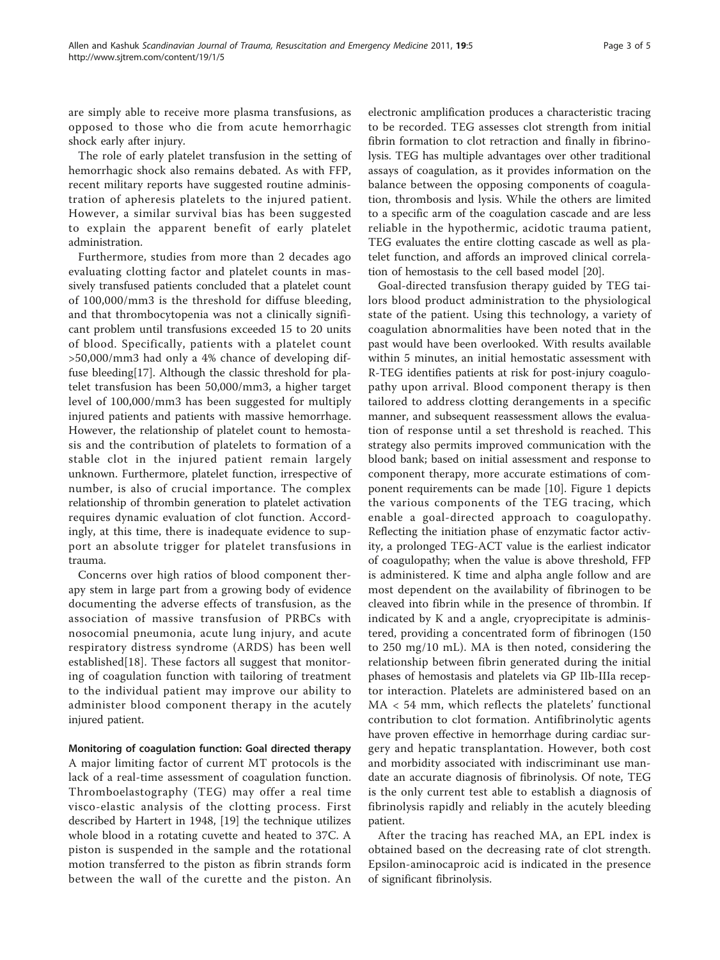are simply able to receive more plasma transfusions, as opposed to those who die from acute hemorrhagic shock early after injury.

The role of early platelet transfusion in the setting of hemorrhagic shock also remains debated. As with FFP, recent military reports have suggested routine administration of apheresis platelets to the injured patient. However, a similar survival bias has been suggested to explain the apparent benefit of early platelet administration.

Furthermore, studies from more than 2 decades ago evaluating clotting factor and platelet counts in massively transfused patients concluded that a platelet count of 100,000/mm3 is the threshold for diffuse bleeding, and that thrombocytopenia was not a clinically significant problem until transfusions exceeded 15 to 20 units of blood. Specifically, patients with a platelet count >50,000/mm3 had only a 4% chance of developing diffuse bleeding[[17](#page-3-0)]. Although the classic threshold for platelet transfusion has been 50,000/mm3, a higher target level of 100,000/mm3 has been suggested for multiply injured patients and patients with massive hemorrhage. However, the relationship of platelet count to hemostasis and the contribution of platelets to formation of a stable clot in the injured patient remain largely unknown. Furthermore, platelet function, irrespective of number, is also of crucial importance. The complex relationship of thrombin generation to platelet activation requires dynamic evaluation of clot function. Accordingly, at this time, there is inadequate evidence to support an absolute trigger for platelet transfusions in trauma.

Concerns over high ratios of blood component therapy stem in large part from a growing body of evidence documenting the adverse effects of transfusion, as the association of massive transfusion of PRBCs with nosocomial pneumonia, acute lung injury, and acute respiratory distress syndrome (ARDS) has been well established[[18](#page-4-0)]. These factors all suggest that monitoring of coagulation function with tailoring of treatment to the individual patient may improve our ability to administer blood component therapy in the acutely injured patient.

# Monitoring of coagulation function: Goal directed therapy

A major limiting factor of current MT protocols is the lack of a real-time assessment of coagulation function. Thromboelastography (TEG) may offer a real time visco-elastic analysis of the clotting process. First described by Hartert in 1948, [\[19](#page-4-0)] the technique utilizes whole blood in a rotating cuvette and heated to 37C. A piston is suspended in the sample and the rotational motion transferred to the piston as fibrin strands form between the wall of the curette and the piston. An

electronic amplification produces a characteristic tracing to be recorded. TEG assesses clot strength from initial fibrin formation to clot retraction and finally in fibrinolysis. TEG has multiple advantages over other traditional assays of coagulation, as it provides information on the balance between the opposing components of coagulation, thrombosis and lysis. While the others are limited to a specific arm of the coagulation cascade and are less reliable in the hypothermic, acidotic trauma patient, TEG evaluates the entire clotting cascade as well as platelet function, and affords an improved clinical correlation of hemostasis to the cell based model [\[20\]](#page-4-0).

Goal-directed transfusion therapy guided by TEG tailors blood product administration to the physiological state of the patient. Using this technology, a variety of coagulation abnormalities have been noted that in the past would have been overlooked. With results available within 5 minutes, an initial hemostatic assessment with R-TEG identifies patients at risk for post-injury coagulopathy upon arrival. Blood component therapy is then tailored to address clotting derangements in a specific manner, and subsequent reassessment allows the evaluation of response until a set threshold is reached. This strategy also permits improved communication with the blood bank; based on initial assessment and response to component therapy, more accurate estimations of component requirements can be made [[10\]](#page-3-0). Figure [1](#page-3-0) depicts the various components of the TEG tracing, which enable a goal-directed approach to coagulopathy. Reflecting the initiation phase of enzymatic factor activity, a prolonged TEG-ACT value is the earliest indicator of coagulopathy; when the value is above threshold, FFP is administered. K time and alpha angle follow and are most dependent on the availability of fibrinogen to be cleaved into fibrin while in the presence of thrombin. If indicated by K and a angle, cryoprecipitate is administered, providing a concentrated form of fibrinogen (150 to 250 mg/10 mL). MA is then noted, considering the relationship between fibrin generated during the initial phases of hemostasis and platelets via GP IIb-IIIa receptor interaction. Platelets are administered based on an MA < 54 mm, which reflects the platelets' functional contribution to clot formation. Antifibrinolytic agents have proven effective in hemorrhage during cardiac surgery and hepatic transplantation. However, both cost and morbidity associated with indiscriminant use mandate an accurate diagnosis of fibrinolysis. Of note, TEG is the only current test able to establish a diagnosis of fibrinolysis rapidly and reliably in the acutely bleeding patient.

After the tracing has reached MA, an EPL index is obtained based on the decreasing rate of clot strength. Epsilon-aminocaproic acid is indicated in the presence of significant fibrinolysis.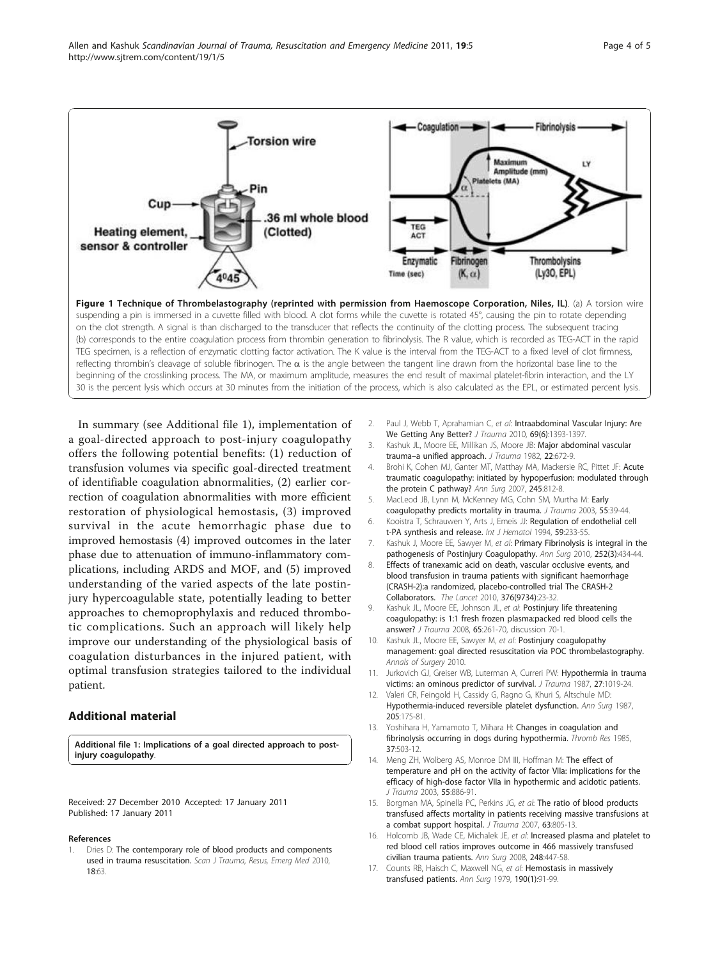<span id="page-3-0"></span>

In summary (see Additional file 1), implementation of a goal-directed approach to post-injury coagulopathy offers the following potential benefits: (1) reduction of transfusion volumes via specific goal-directed treatment of identifiable coagulation abnormalities, (2) earlier correction of coagulation abnormalities with more efficient restoration of physiological hemostasis, (3) improved survival in the acute hemorrhagic phase due to improved hemostasis (4) improved outcomes in the later phase due to attenuation of immuno-inflammatory complications, including ARDS and MOF, and (5) improved understanding of the varied aspects of the late postinjury hypercoagulable state, potentially leading to better approaches to chemoprophylaxis and reduced thrombotic complications. Such an approach will likely help improve our understanding of the physiological basis of coagulation disturbances in the injured patient, with optimal transfusion strategies tailored to the individual patient.

# Additional material

[Additional file 1: I](http://www.biomedcentral.com/content/supplementary/1757-7241-19-5-S1.DOC)mplications of a goal directed approach to postinjury coagulopathy.

Received: 27 December 2010 Accepted: 17 January 2011 Published: 17 January 2011

#### References

Dries D: The contemporary role of blood products and components used in trauma resuscitation. Scan J Trauma, Resus, Emerg Med 2010, 18:63.

- 2. Paul J, Webb T, Aprahamian C, et al: [Intraabdominal Vascular Injury: Are](http://www.ncbi.nlm.nih.gov/pubmed/20693922?dopt=Abstract) [We Getting Any Better?](http://www.ncbi.nlm.nih.gov/pubmed/20693922?dopt=Abstract) J Trauma 2010, 69(6):1393-1397
- Kashuk JL, Moore EE, Millikan JS, Moore JB: [Major abdominal vascular](http://www.ncbi.nlm.nih.gov/pubmed/6980992?dopt=Abstract) trauma-[a unified approach.](http://www.ncbi.nlm.nih.gov/pubmed/6980992?dopt=Abstract) J Trauma 1982, 22:672-9.
- 4. Brohi K, Cohen MJ, Ganter MT, Matthay MA, Mackersie RC, Pittet JF: [Acute](http://www.ncbi.nlm.nih.gov/pubmed/17457176?dopt=Abstract) [traumatic coagulopathy: initiated by hypoperfusion: modulated through](http://www.ncbi.nlm.nih.gov/pubmed/17457176?dopt=Abstract) [the protein C pathway?](http://www.ncbi.nlm.nih.gov/pubmed/17457176?dopt=Abstract) Ann Surg 2007, 245:812-8.
- MacLeod JB, Lynn M, McKenney MG, Cohn SM, Murtha M: [Early](http://www.ncbi.nlm.nih.gov/pubmed/12855879?dopt=Abstract) [coagulopathy predicts mortality in trauma.](http://www.ncbi.nlm.nih.gov/pubmed/12855879?dopt=Abstract) J Trauma 2003, 55:39-44.
- 6. Kooistra T, Schrauwen Y, Arts J, Emeis JJ: [Regulation of endothelial cell](http://www.ncbi.nlm.nih.gov/pubmed/8086618?dopt=Abstract) [t-PA synthesis and release.](http://www.ncbi.nlm.nih.gov/pubmed/8086618?dopt=Abstract) Int J Hematol 1994, 59:233-55.
- 7. Kashuk J, Moore EE, Sawyer M, et al: [Primary Fibrinolysis is integral in the](http://www.ncbi.nlm.nih.gov/pubmed/20739843?dopt=Abstract) [pathogenesis of Postinjury Coagulopathy.](http://www.ncbi.nlm.nih.gov/pubmed/20739843?dopt=Abstract) Ann Surg 2010, 252(3):434-44.
- 8. Effects of tranexamic acid on death, vascular occlusive events, and blood transfusion in trauma patients with significant haemorrhage (CRASH-2):a randomized, placebo-controlled trial The CRASH-2 Collaborators. The Lancet 2010, 376(9734):23-32.
- Kashuk JL, Moore EE, Johnson JL, et al: [Postinjury life threatening](http://www.ncbi.nlm.nih.gov/pubmed/18695460?dopt=Abstract) [coagulopathy: is 1:1 fresh frozen plasma:packed red blood cells the](http://www.ncbi.nlm.nih.gov/pubmed/18695460?dopt=Abstract) [answer?](http://www.ncbi.nlm.nih.gov/pubmed/18695460?dopt=Abstract) J Trauma 2008, 65:261-70, discussion 70-1.
- 10. Kashuk JL, Moore EE, Sawyer M, et al: Postinjury coagulopathy management: goal directed resuscitation via POC thrombelastography. Annals of Surgery 2010.
- 11. Jurkovich GJ, Greiser WB, Luterman A, Curreri PW: [Hypothermia in trauma](http://www.ncbi.nlm.nih.gov/pubmed/3656464?dopt=Abstract) [victims: an ominous predictor of survival.](http://www.ncbi.nlm.nih.gov/pubmed/3656464?dopt=Abstract) J Trauma 1987, 27:1019-24.
- 12. Valeri CR, Feingold H, Cassidy G, Ragno G, Khuri S, Altschule MD: [Hypothermia-induced reversible platelet dysfunction.](http://www.ncbi.nlm.nih.gov/pubmed/3813688?dopt=Abstract) Ann Surg 1987, 205:175-81.
- 13. Yoshihara H, Yamamoto T, Mihara H: [Changes in coagulation and](http://www.ncbi.nlm.nih.gov/pubmed/3983906?dopt=Abstract) [fibrinolysis occurring in dogs during hypothermia.](http://www.ncbi.nlm.nih.gov/pubmed/3983906?dopt=Abstract) Thromb Res 1985, 37:503-12.
- 14. Meng ZH, Wolberg AS, Monroe DM III, Hoffman M: [The effect of](http://www.ncbi.nlm.nih.gov/pubmed/14608161?dopt=Abstract) [temperature and pH on the activity of factor VIIa: implications for the](http://www.ncbi.nlm.nih.gov/pubmed/14608161?dopt=Abstract) [efficacy of high-dose factor VIIa in hypothermic and acidotic patients.](http://www.ncbi.nlm.nih.gov/pubmed/14608161?dopt=Abstract) J Trauma 2003, 55:886-91.
- 15. Borgman MA, Spinella PC, Perkins JG, et al: [The ratio of blood products](http://www.ncbi.nlm.nih.gov/pubmed/18090009?dopt=Abstract) [transfused affects mortality in patients receiving massive transfusions at](http://www.ncbi.nlm.nih.gov/pubmed/18090009?dopt=Abstract) [a combat support hospital.](http://www.ncbi.nlm.nih.gov/pubmed/18090009?dopt=Abstract) J Trauma 2007, 63:805-13.
- 16. Holcomb JB, Wade CE, Michalek JE, et al: [Increased plasma and platelet to](http://www.ncbi.nlm.nih.gov/pubmed/18791365?dopt=Abstract) [red blood cell ratios improves outcome in 466 massively transfused](http://www.ncbi.nlm.nih.gov/pubmed/18791365?dopt=Abstract) [civilian trauma patients.](http://www.ncbi.nlm.nih.gov/pubmed/18791365?dopt=Abstract) Ann Surg 2008, 248:447-58.
- 17. Counts RB, Haisch C, Maxwell NG, et al: [Hemostasis in massively](http://www.ncbi.nlm.nih.gov/pubmed/464685?dopt=Abstract) [transfused patients.](http://www.ncbi.nlm.nih.gov/pubmed/464685?dopt=Abstract) Ann Surg 1979, 190(1):91-99.